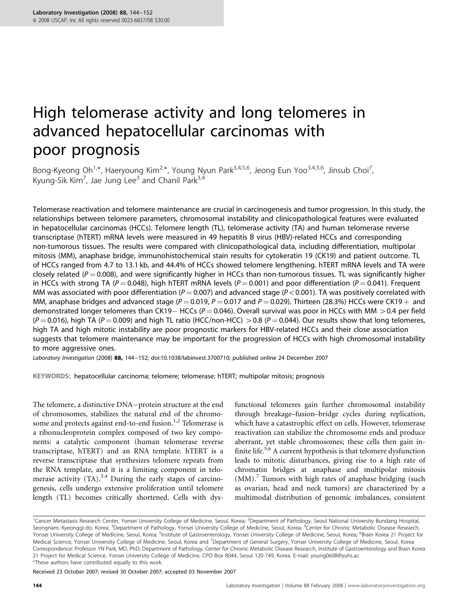# High telomerase activity and long telomeres in advanced hepatocellular carcinomas with poor prognosis

Bong-Kyeong Oh<sup>1,\*</sup>, Haeryoung Kim<sup>2,\*</sup>, Young Nyun Park<sup>3,4,5,6</sup>, Jeong Eun Yoo<sup>3,4,5,6</sup>, Jinsub Choi<sup>7</sup>, , Kyung-Sik Kim<sup>7</sup>, Jae Jung Lee<sup>3</sup> and Chanil Park<sup>3,4</sup>

Telomerase reactivation and telomere maintenance are crucial in carcinogenesis and tumor progression. In this study, the relationships between telomere parameters, chromosomal instability and clinicopathological features were evaluated in hepatocellular carcinomas (HCCs). Telomere length (TL), telomerase activity (TA) and human telomerase reverse transcriptase (hTERT) mRNA levels were measured in 49 hepatitis B virus (HBV)-related HCCs and corresponding non-tumorous tissues. The results were compared with clinicopathological data, including differentiation, multipolar mitosis (MM), anaphase bridge, immunohistochemical stain results for cytokeratin 19 (CK19) and patient outcome. TL of HCCs ranged from 4.7 to 13.1 kb, and 44.4% of HCCs showed telomere lengthening. hTERT mRNA levels and TA were closely related ( $P = 0.008$ ), and were significantly higher in HCCs than non-tumorous tissues. TL was significantly higher in HCCs with strong TA (P = 0.048), high hTERT mRNA levels (P = 0.001) and poor differentiation (P = 0.041). Frequent MM was associated with poor differentiation ( $P = 0.007$ ) and advanced stage ( $P < 0.001$ ). TA was positively correlated with MM, anaphase bridges and advanced stage ( $P = 0.019$ ,  $P = 0.017$  and  $P = 0.029$ ). Thirteen (28.3%) HCCs were CK19  $+$  and demonstrated longer telomeres than CK19 HCCs ( $P = 0.046$ ). Overall survival was poor in HCCs with MM  $> 0.4$  per field  $(P = 0.016)$ , high TA (P = 0.009) and high TL ratio (HCC/non-HCC) > 0.8 (P = 0.044). Our results show that long telomeres, high TA and high mitotic instability are poor prognostic markers for HBV-related HCCs and their close association suggests that telomere maintenance may be important for the progression of HCCs with high chromosomal instability to more aggressive ones.

Laboratory Investigation (2008) 88, 144–152; doi:[10.1038/labinvest.3700710](http://dx.doi.org/10.1038/labinvest.3700710); published online 24 December 2007

KEYWORDS: hepatocellular carcinoma; telomere; telomerase; hTERT; multipolar mitosis; prognosis

The telomere, a distinctive DNA-protein structure at the end of chromosomes, stabilizes the natural end of the chromo-some and protects against end-to-end fusion.<sup>[1,2](#page-7-0)</sup> Telomerase is a ribonucleoprotein complex composed of two key components: a catalytic component (human telomerase reverse transcriptase, hTERT) and an RNA template. hTERT is a reverse transcriptase that synthesizes telomere repeats from the RNA template, and it is a limiting component in telomerase activity  $(TA)$ .<sup>[3,4](#page-7-0)</sup> During the early stages of carcinogenesis, cells undergo extensive proliferation until telomere length (TL) becomes critically shortened. Cells with dysfunctional telomeres gain further chromosomal instability through breakage–fusion–bridge cycles during replication, which have a catastrophic effect on cells. However, telomerase reactivation can stabilize the chromosome ends and produce aberrant, yet stable chromosomes; these cells then gain in-finite life.<sup>[5,6](#page-7-0)</sup> A current hypothesis is that telomere dysfunction leads to mitotic disturbances, giving rise to a high rate of chromatin bridges at anaphase and multipolar mitosis  $(MM)$ .<sup>[7](#page-7-0)</sup> Tumors with high rates of anaphase bridging (such as ovarian, head and neck tumors) are characterized by a multimodal distribution of genomic imbalances, consistent

Received 23 October 2007; revised 30 October 2007; accepted 03 November 2007

<sup>&</sup>lt;sup>1</sup>Cancer Metastasis Research Center, Yonsei University College of Medicine, Seoul, Korea; <sup>2</sup>Department of Pathology, Seoul National University Bundang Hospital, Seongnam, Kyeonggi-do, Korea; <sup>3</sup>Department of Pathology, Yonsei University College of Medicine, Seoul, Korea; <sup>4</sup>Center for Chronic Metabolic Disease Research, Yonsei University College of Medicine, Seoul, Korea; <sup>s</sup>Institute of Gastroenterology, Yonsei University College of Medicine, Seoul, Korea; <sup>6</sup>Brain Korea 21 Project for Medical Science, Yonsei University College of Medicine, Seoul, Korea and <sup>7</sup>Department of General Surgery, Yonsei University College of Medicine, Seoul, Korea Correspondence: Professor YN Park, MD, PhD, Department of Pathology, Center for Chronic Metabolic Disease Research, Institute of Gastroenterology and Brain Korea 21 Project for Medical Science, Yonsei University College of Medicine, CPO Box 8044, Seoul 120-749, Korea. E-mail: [young0608@yuhs.ac](mailto:young0608@yuhs.ac) \*These authors have contributed equally to this work.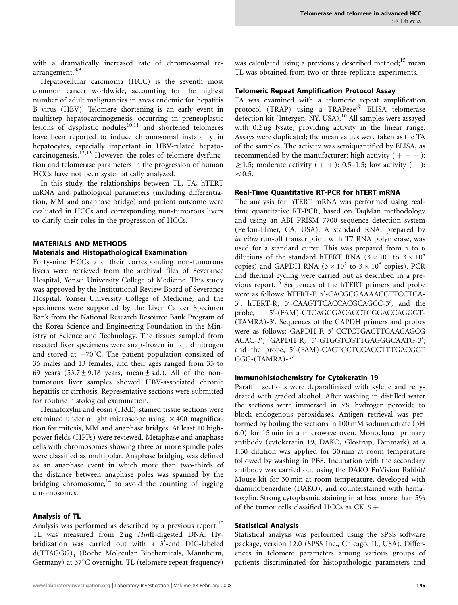with a dramatically increased rate of chromosomal re-arrangement.<sup>[8,9](#page-7-0)</sup>

Hepatocellular carcinoma (HCC) is the seventh most common cancer worldwide, accounting for the highest number of adult malignancies in areas endemic for hepatitis B virus (HBV). Telomere shortening is an early event in multistep hepatocarcinogenesis, occurring in preneoplastic lesions of dysplastic nodules $10,11$  and shortened telomeres have been reported to induce chromosomal instability in hepatocytes, especially important in HBV-related hepato-carcinogenesis.<sup>[12,13](#page-7-0)</sup> However, the roles of telomere dysfunction and telomerase parameters in the progression of human HCCs have not been systematically analyzed.

In this study, the relationships between TL, TA, hTERT mRNA and pathological parameters (including differentiation, MM and anaphase bridge) and patient outcome were evaluated in HCCs and corresponding non-tumorous livers to clarify their roles in the progression of HCCs.

## MATERIALS AND METHODS

#### Materials and Histopathological Examination

Forty-nine HCCs and their corresponding non-tumorous livers were retrieved from the archival files of Severance Hospital, Yonsei University College of Medicine. This study was approved by the Institutional Review Board of Severance Hospital, Yonsei University College of Medicine, and the specimens were supported by the Liver Cancer Specimen Bank from the National Research Resource Bank Program of the Korea Science and Engineering Foundation in the Ministry of Science and Technology. The tissues sampled from resected liver specimens were snap-frozen in liquid nitrogen and stored at  $-70^{\circ}$ C. The patient population consisted of 36 males and 13 females, and their ages ranged from 35 to 69 years  $(53.7 \pm 9.18$  years, mean  $\pm$  s.d.). All of the nontumorous liver samples showed HBV-associated chronic hepatitis or cirrhosis. Representative sections were submitted for routine histological examination.

Hematoxylin and eosin (H&E)-stained tissue sections were examined under a light microscope using  $\times$  400 magnification for mitosis, MM and anaphase bridges. At least 10 highpower fields (HPFs) were reviewed. Metaphase and anaphase cells with chromosomes showing three or more spindle poles were classified as multipolar. Anaphase bridging was defined as an anaphase event in which more than two-thirds of the distance between anaphase poles was spanned by the bridging chromosome, $14$  to avoid the counting of lagging chromosomes.

## Analysis of TL

Analysis was performed as described by a previous report.<sup>[10](#page-7-0)</sup> TL was measured from  $2 \mu$ g HinfI-digested DNA. Hybridization was carried out with a 3'-end DIG-labeled d(TTAGGG)4 (Roche Molecular Biochemicals, Mannheim, Germany) at 37°C overnight. TL (telomere repeat frequency) was calculated using a previously described method;<sup>[15](#page-8-0)</sup> mean TL was obtained from two or three replicate experiments.

## Telomeric Repeat Amplification Protocol Assay

TA was examined with a telomeric repeat amplification protocol (TRAP) using a TRAPeze<sup>®</sup> ELISA telomerase detection kit (Intergen, NY, USA).<sup>[10](#page-7-0)</sup> All samples were assayed with  $0.2 \mu$ g lysate, providing activity in the linear range. Assays were duplicated; the mean values were taken as the TA of the samples. The activity was semiquantified by ELISA, as recommended by the manufacturer: high activity  $(+) +$  ):  $\geq$ 1.5; moderate activity ( + + ): 0.5–1.5; low activity ( + ):  $< 0.5.$ 

#### Real-Time Quantitative RT-PCR for hTERT mRNA

The analysis for hTERT mRNA was performed using realtime quantitative RT-PCR, based on TaqMan methodology and using an ABI PRISM 7700 sequence detection system (Perkin-Elmer, CA, USA). A standard RNA, prepared by in vitro run-off transcription with T7 RNA polymerase, was used for a standard curve. This was prepared from 5 to 6 dilutions of the standard hTERT RNA  $(3 \times 10^1$  to  $3 \times 10^5$ copies) and GAPDH RNA  $(3 \times 10^2$  to  $3 \times 10^6$  copies). PCR and thermal cycling were carried out as described in a pre-vious report.<sup>[16](#page-8-0)</sup> Sequences of the hTERT primers and probe were as follows: hTERT-F, 5'-CACGCGAAAACCTTCCTCA-3'; hTERT-R, 5'-CAAGTTCACCACGCAGCC-3', and the probe, -(FAM)-CTCAGGGACACCTCGGACCAGGGT- (TAMRA)-3'. Sequences of the GAPDH primers and probes were as follows: GAPDH-F, 5'-CCTCTGACTTCAACAGCG ACAC-3'; GAPDH-R, 5'-GTGGTCGTTGAGGGCAATG-3'; and the probe, 5'-(FAM)-CACTCCTCCACCTTTGACGCT GGG-(TAMRA)-3'.

## Immunohistochemistry for Cytokeratin 19

Paraffin sections were deparaffinized with xylene and rehydrated with graded alcohol. After washing in distilled water the sections were immersed in 3% hydrogen peroxide to block endogenous peroxidases. Antigen retrieval was performed by boiling the sections in 100 mM sodium citrate (pH 6.0) for 15 min in a microwave oven. Monoclonal primary antibody (cytokeratin 19, DAKO, Glostrup, Denmark) at a 1:50 dilution was applied for 30 min at room temperature followed by washing in PBS. Incubation with the secondary antibody was carried out using the DAKO EnVision Rabbit/ Mouse kit for 30 min at room temperature, developed with diaminobenzidine (DAKO), and counterstained with hematoxylin. Strong cytoplasmic staining in at least more than 5% of the tumor cells classified HCCs as  $CK19 +$ .

#### Statistical Analysis

Statistical analysis was performed using the SPSS software package, version 12.0 (SPSS Inc., Chicago, IL, USA). Differences in telomere parameters among various groups of patients discriminated for histopathologic parameters and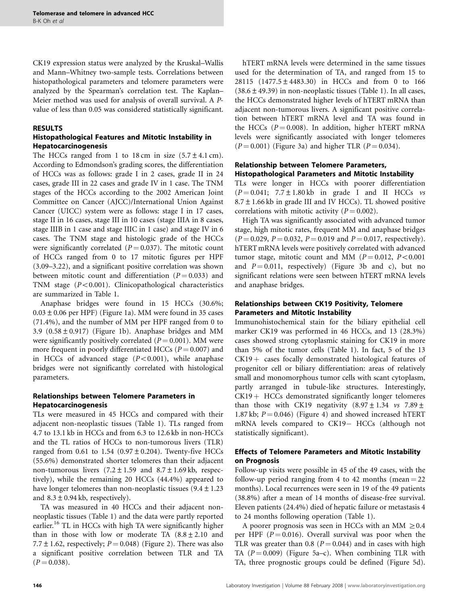CK19 expression status were analyzed by the Kruskal–Wallis and Mann–Whitney two-sample tests. Correlations between histopathological parameters and telomere parameters were analyzed by the Spearman's correlation test. The Kaplan– Meier method was used for analysis of overall survival. A Pvalue of less than 0.05 was considered statistically significant.

# RESULTS

# Histopathological Features and Mitotic Instability in Hepatocarcinogenesis

The HCCs ranged from 1 to 18 cm in size  $(5.7 \pm 4.1 \text{ cm})$ . According to Edmondson's grading scores, the differentiation of HCCs was as follows: grade I in 2 cases, grade II in 24 cases, grade III in 22 cases and grade IV in 1 case. The TNM stages of the HCCs according to the 2002 American Joint Committee on Cancer (AJCC)/International Union Against Cancer (UICC) system were as follows: stage I in 17 cases, stage II in 16 cases, stage III in 10 cases (stage IIIA in 8 cases, stage IIIB in 1 case and stage IIIC in 1 case) and stage IV in 6 cases. The TNM stage and histologic grade of the HCCs were significantly correlated  $(P = 0.037)$ . The mitotic count of HCCs ranged from 0 to 17 mitotic figures per HPF (3.09–3.22), and a significant positive correlation was shown between mitotic count and differentiation ( $P = 0.033$ ) and TNM stage  $(P<0.001)$ . Clinicopathological characteristics are summarized in [Table 1.](#page-3-0)

Anaphase bridges were found in 15 HCCs (30.6%;  $0.03 \pm 0.06$  per HPF) [\(Figure 1a\)](#page-4-0). MM were found in 35 cases (71.4%), and the number of MM per HPF ranged from 0 to 3.9  $(0.58 \pm 0.917)$  [\(Figure 1b](#page-4-0)). Anaphase bridges and MM were significantly positively correlated  $(P = 0.001)$ . MM were more frequent in poorly differentiated HCCs ( $P = 0.007$ ) and in HCCs of advanced stage  $(P<0.001)$ , while anaphase bridges were not significantly correlated with histological parameters.

# Relationships between Telomere Parameters in Hepatocarcinogenesis

TLs were measured in 45 HCCs and compared with their adjacent non-neoplastic tissues ([Table 1](#page-3-0)). TLs ranged from 4.7 to 13.1 kb in HCCs and from 6.3 to 12.6 kb in non-HCCs and the TL ratios of HCCs to non-tumorous livers (TLR) ranged from 0.61 to  $1.54$  (0.97  $\pm$  0.204). Twenty-five HCCs (55.6%) demonstrated shorter telomeres than their adjacent non-tumorous livers  $(7.2 \pm 1.59 \text{ and } 8.7 \pm 1.69 \text{ kb}, \text{respect-}$ tively), while the remaining 20 HCCs (44.4%) appeared to have longer telomeres than non-neoplastic tissues  $(9.4 \pm 1.23)$ and  $8.3 \pm 0.94$  kb, respectively).

TA was measured in 40 HCCs and their adjacent nonneoplastic tissues [\(Table 1](#page-3-0)) and the data were partly reported earlier.<sup>[16](#page-8-0)</sup> TL in HCCs with high TA were significantly higher than in those with low or moderate TA  $(8.8 \pm 2.10)$  and 7.7  $\pm$  1.62, respectively; P = 0.048) [\(Figure 2](#page-4-0)). There was also a significant positive correlation between TLR and TA  $(P = 0.038)$ .

hTERT mRNA levels were determined in the same tissues used for the determination of TA, and ranged from 15 to 28115 (1477.5±4483.30) in HCCs and from 0 to 166  $(38.6 \pm 49.39)$  in non-neoplastic tissues [\(Table 1](#page-3-0)). In all cases, the HCCs demonstrated higher levels of hTERT mRNA than adjacent non-tumorous livers. A significant positive correlation between hTERT mRNA level and TA was found in the HCCs ( $P = 0.008$ ). In addition, higher hTERT mRNA levels were significantly associated with longer telomeres  $(P = 0.001)$  [\(Figure 3a](#page-5-0)) and higher TLR ( $P = 0.034$ ).

# Relationship between Telomere Parameters, Histopathological Parameters and Mitotic Instability

TLs were longer in HCCs with poorer differentiation  $(P = 0.041; 7.7 \pm 1.80 \text{ kb}$  in grade I and II HCCs vs  $8.7 \pm 1.66$  kb in grade III and IV HCCs). TL showed positive correlations with mitotic activity  $(P = 0.002)$ .

High TA was significantly associated with advanced tumor stage, high mitotic rates, frequent MM and anaphase bridges  $(P = 0.029, P = 0.032, P = 0.019$  and  $P = 0.017$ , respectively). hTERT mRNA levels were positively correlated with advanced tumor stage, mitotic count and MM  $(P = 0.012, P < 0.001)$ and  $P = 0.011$ , respectively) [\(Figure 3b and c\)](#page-5-0), but no significant relations were seen between hTERT mRNA levels and anaphase bridges.

# Relationships between CK19 Positivity, Telomere Parameters and Mitotic Instability

Immunohistochemical stain for the biliary epithelial cell marker CK19 was performed in 46 HCCs, and 13 (28.3%) cases showed strong cytoplasmic staining for CK19 in more than 5% of the tumor cells [\(Table 1\)](#page-3-0). In fact, 5 of the 13  $CK19 + \text{cases}$  focally demonstrated histological features of progenitor cell or biliary differentiation: areas of relatively small and monomorphous tumor cells with scant cytoplasm, partly arranged in tubule-like structures. Interestingly,  $CK19 + HCCs$  demonstrated significantly longer telomeres than those with CK19 negativity  $(8.97 \pm 1.34 \text{ vs } 7.89 \pm 1.34 \text{ vs } 7.89 \pm 1.34 \text{ vs } 7.89 \pm 1.34 \text{ vs } 7.89 \pm 1.34 \text{ vs } 7.89 \pm 1.34 \text{ vs } 7.89 \pm 1.34 \text{ vs } 7.89 \pm 1.34 \text{ vs } 7.89 \pm 1.34 \text{ vs } 7.89 \pm 1.34 \text{ vs } 7.89 \pm 1.34 \text{ vs }$ 1.87 kb;  $P = 0.046$ ) ([Figure 4\)](#page-5-0) and showed increased hTERT mRNA levels compared to CK19- HCCs (although not statistically significant).

# Effects of Telomere Parameters and Mitotic Instability on Prognosis

Follow-up visits were possible in 45 of the 49 cases, with the follow-up period ranging from 4 to 42 months (mean  $= 22$ ) months). Local recurrences were seen in 19 of the 49 patients (38.8%) after a mean of 14 months of disease-free survival. Eleven patients (24.4%) died of hepatic failure or metastasis 4 to 24 months following operation [\(Table 1\)](#page-3-0).

A poorer prognosis was seen in HCCs with an MM  $\geq 0.4$ per HPF ( $P = 0.016$ ). Overall survival was poor when the TLR was greater than 0.8 ( $P = 0.044$ ) and in cases with high TA  $(P = 0.009)$  ([Figure 5a–c](#page-6-0)). When combining TLR with TA, three prognostic groups could be defined ([Figure 5d\)](#page-6-0).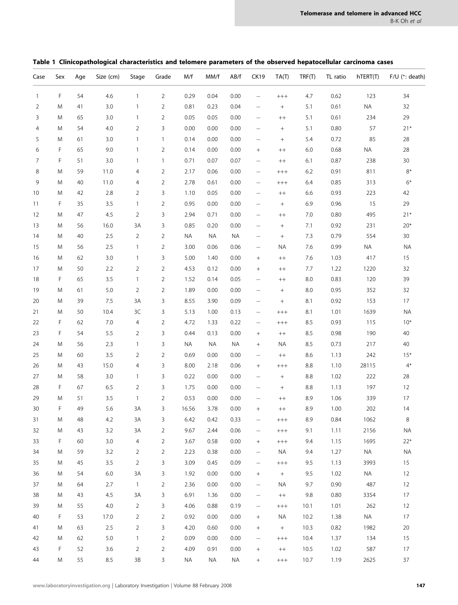| Case         | Sex       | Age    | Size (cm) | Stage          | Grade          | M/f       | MM/f      | AB/f      | <b>CK19</b>              | TA(T)                            | TRF(T)  | TL ratio | hTERT(T)  | F/U (*: death) |
|--------------|-----------|--------|-----------|----------------|----------------|-----------|-----------|-----------|--------------------------|----------------------------------|---------|----------|-----------|----------------|
| $\mathbf{1}$ | F         | 54     | 4.6       | $\mathbf{1}$   | $\overline{2}$ | 0.29      | 0.04      | 0.00      | —                        | $^{+++}$                         | 4.7     | 0.62     | 123       | 34             |
| 2            | M         | 41     | 3.0       | 1              | $\overline{2}$ | 0.81      | 0.23      | 0.04      | $\qquad \qquad -$        | $\begin{array}{c} + \end{array}$ | 5.1     | 0.61     | $\sf NA$  | 32             |
| 3            | M         | 65     | 3.0       | $\mathbf{1}$   | $\overline{2}$ | 0.05      | 0.05      | 0.00      | $\qquad \qquad -$        | $^{++}$                          | 5.1     | 0.61     | 234       | 29             |
| 4            | M         | 54     | 4.0       | $\overline{2}$ | 3              | 0.00      | 0.00      | 0.00      | $\qquad \qquad -$        | $\boldsymbol{+}$                 | 5.1     | 0.80     | 57        | $21*$          |
| 5            | M         | 61     | 3.0       | $\mathbf{1}$   | $\mathbf{1}$   | 0.14      | 0.00      | 0.00      | $\overline{\phantom{m}}$ | $\! +$                           | 5.4     | 0.72     | 85        | 28             |
| 6            | F         | 65     | 9.0       | $\mathbf{1}$   | $\overline{2}$ | 0.14      | 0.00      | 0.00      |                          | $^{++}$                          | $6.0\,$ | 0.68     | <b>NA</b> | 28             |
| 7            | F         | 51     | 3.0       | $\mathbf{1}$   | $\mathbf{1}$   | 0.71      | 0.07      | 0.07      | $\qquad \qquad -$        | $^{++}$                          | 6.1     | 0.87     | 238       | 30             |
| 8            | M         | 59     | 11.0      | 4              | $\overline{2}$ | 2.17      | 0.06      | 0.00      | $\overline{\phantom{m}}$ | $^{+++}$                         | 6.2     | 0.91     | 811       | $8^*$          |
| 9            | M         | 40     | 11.0      | 4              | $\overline{2}$ | 2.78      | 0.61      | 0.00      |                          | $^{+++}$                         | 6.4     | 0.85     | 313       | $6*$           |
| 10           | M         | 42     | 2.8       | 2              | 3              | 1.10      | 0.05      | 0.00      | $\qquad \qquad -$        | $^{++}$                          | 6.6     | 0.93     | 223       | 42             |
| 11           | F         | 35     | 3.5       | $\mathbf{1}$   | $\overline{2}$ | 0.95      | 0.00      | 0.00      | $\qquad \qquad -$        | $\boldsymbol{+}$                 | 6.9     | 0.96     | 15        | 29             |
| 12           | M         | 47     | 4.5       | $\overline{2}$ | 3              | 2.94      | 0.71      | 0.00      | $\overline{\phantom{m}}$ | $^{++}$                          | 7.0     | 0.80     | 495       | $21*$          |
| 13           | M         | 56     | 16.0      | 3A             | 3              | 0.85      | 0.20      | 0.00      |                          | $\boldsymbol{+}$                 | 7.1     | 0.92     | 231       | $20*$          |
| 14           | M         | 40     | 2.5       | $\overline{2}$ | $\overline{2}$ | <b>NA</b> | NA        | <b>NA</b> | $\overline{\phantom{0}}$ |                                  | 7.3     | 0.79     | 554       | 30             |
| 15           | M         | 56     | 2.5       | $\mathbf{1}$   | $\overline{2}$ | 3.00      | 0.06      | 0.06      | $\qquad \qquad -$        | ΝA                               | 7.6     | 0.99     | <b>NA</b> | <b>NA</b>      |
| 16           | M         | 62     | 3.0       | $\mathbf{1}$   | 3              | 5.00      | 1.40      | 0.00      |                          | $^{++}$                          | 7.6     | 1.03     | 417       | 15             |
| 17           | M         | 50     | 2.2       | 2              | 2              | 4.53      | 0.12      | 0.00      | $^{+}$                   | $^{++}$                          | 7.7     | 1.22     | 1220      | 32             |
| 18           | F         | 65     | 3.5       | 1              | $\overline{2}$ | 1.52      | 0.14      | 0.05      | $\qquad \qquad -$        | $^{++}$                          | 8.0     | 0.83     | 120       | 39             |
| 19           | M         | 61     | 5.0       | 2              | 2              | 1.89      | 0.00      | 0.00      | $\overline{\phantom{0}}$ | $\boldsymbol{+}$                 | 8.0     | 0.95     | 352       | 32             |
| 20           | M         | 39     | 7.5       | 3A             | 3              | 8.55      | 3.90      | 0.09      | $\overline{\phantom{m}}$ |                                  | 8.1     | 0.92     | 153       | 17             |
| 21           | M         | 50     | 10.4      | 3C             | 3              | 5.13      | 1.00      | 0.13      | $\qquad \qquad -$        | $^{+++}$                         | 8.1     | 1.01     | 1639      | <b>NA</b>      |
| 22           | F         | 62     | 7.0       | 4              | $\overline{2}$ | 4.72      | 1.33      | 0.22      | $\qquad \qquad -$        | $^{+++}$                         | 8.5     | 0.93     | 115       | $10*$          |
| 23           | F         | 54     | 5.5       | 2              | 3              | 0.44      | 0.13      | 0.00      | $^{+}$                   | $^{++}$                          | 8.5     | 0.98     | 190       | 40             |
| 24           | M         | 56     | 2.3       | $\mathbf{1}$   | 3              | <b>NA</b> | <b>NA</b> | <b>NA</b> | $^{+}$                   | ΝA                               | 8.5     | 0.73     | 217       | 40             |
| 25           | M         | 60     | 3.5       | 2              | $\overline{2}$ | 0.69      | 0.00      | 0.00      | $\overline{\phantom{m}}$ | $+ +$                            | 8.6     | 1.13     | 242       | $15*$          |
| 26           | M         | 43     | 15.0      | 4              | 3              | 8.00      | 2.18      | 0.06      |                          | $^{+++}$                         | 8.8     | 1.10     | 28115     | $4^*$          |
| 27           | M         | 58     | 3.0       | $\mathbf{1}$   | 3              | 0.22      | 0.00      | 0.00      | $\overline{\phantom{0}}$ | $\boldsymbol{+}$                 | 8.8     | 1.02     | 222       | 28             |
| 28           | F         | 67     | 6.5       | $\overline{2}$ | 3              | 1.75      | 0.00      | 0.00      | $\qquad \qquad -$        | $\! +$                           | $8.8\,$ | 1.13     | 197       | 12             |
| 29           | M         | 51     | 3.5       | $\mathbf{1}$   | 2              | 0.53      | 0.00      | 0.00      | $\qquad \qquad -$        | $^{++}$                          | 8.9     | 1.06     | 339       | 17             |
| 30           | F         | 49     | 5.6       | 3A             | 3              | 16.56     | 3.78      | 0.00      | $+$                      | $^{++}$                          | 8.9     | 1.00     | 202       | 14             |
| 31           | ${\sf M}$ | $48\,$ | 4.2       | 3A             | 3              | 6.42      | 0.42      | 0.33      |                          | $^{+++}$                         | 8.9     | 0.84     | 1062      | 8              |
| 32           | M         | 43     | 3.2       | 3A             | $\overline{2}$ | 9.67      | 2.44      | 0.06      | $\overline{\phantom{m}}$ | $^{+++}$                         | 9.1     | 1.11     | 2156      | <b>NA</b>      |
| 33           | F         | 60     | 3.0       | 4              | $\overline{2}$ | 3.67      | 0.58      | 0.00      | $^{+}$                   | $^{+++}$                         | 9.4     | 1.15     | 1695      | $22*$          |
| 34           | M         | 59     | 3.2       | 2              | $\overline{2}$ | 2.23      | 0.38      | 0.00      |                          | ΝA                               | 9.4     | 1.27     | NA        | <b>NA</b>      |
| 35           | M         | 45     | 3.5       | $\overline{2}$ | 3              | 3.09      | 0.45      | 0.09      | $\overline{\phantom{0}}$ | $^{+++}$                         | 9.5     | 1.13     | 3993      | 15             |
| 36           | M         | 54     | $6.0\,$   | 3A             | 3              | 1.92      | 0.00      | 0.00      | $\! + \!\!\!\!$          | $+$                              | 9.5     | 1.02     | <b>NA</b> | 12             |
| 37           | M         | 64     | 2.7       | $\mathbf{1}$   | $\overline{2}$ | 2.36      | 0.00      | 0.00      | $\qquad \qquad -$        | ΝA                               | 9.7     | 0.90     | 487       | 12             |
| 38           | M         | 43     | 4.5       | 3A             | 3              | 6.91      | 1.36      | 0.00      | $\qquad \qquad -$        | $++$                             | 9.8     | 0.80     | 3354      | 17             |
| 39           | M         | 55     | 4.0       | $\overline{2}$ | 3              | 4.06      | 0.88      | 0.19      | $\overline{\phantom{0}}$ | $^{+++}$                         | 10.1    | 1.01     | 262       | 12             |
| 40           | F         | 53     | 17.0      | 2              | $\overline{2}$ | 0.92      | 0.00      | 0.00      | $\! + \!\!\!\!$          | ΝA                               | 10.2    | 1.38     | <b>NA</b> | 17             |
| 41           | M         | 63     | 2.5       | $\overline{2}$ | 3              | 4.20      | 0.60      | 0.00      | $\! + \!\!\!\!$          | $^{+}$                           | 10.3    | 0.82     | 1982      | 20             |
| 42           | M         | 62     | 5.0       | $\mathbf{1}$   | $\overline{2}$ | 0.09      | 0.00      | 0.00      | $\qquad \qquad -$        | $^{+++}$                         | 10.4    | 1.37     | 134       | 15             |
| 43           | F         | 52     | 3.6       | 2              | $\overline{2}$ | 4.09      | 0.91      | 0.00      | $\! + \!\!\!\!$          | $^{++}$                          | 10.5    | 1.02     | 587       | 17             |
| 44           | M         | 55     | 8.5       | $3B$           | 3              | <b>NA</b> | NA        | <b>NA</b> | $\! + \!\!\!\!$          | $^{+++}$                         | 10.7    | 1.19     | 2625      | 37             |

<span id="page-3-0"></span>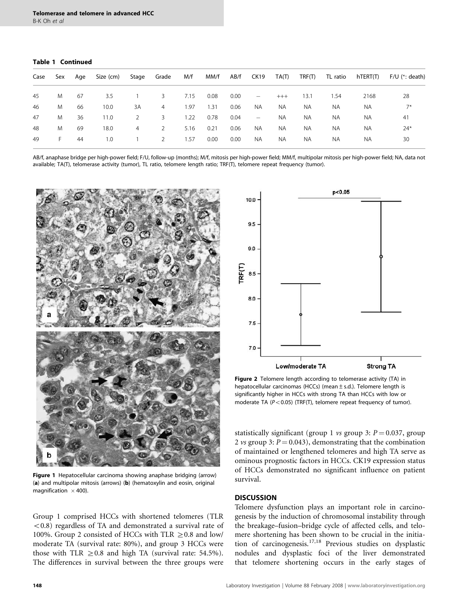#### <span id="page-4-0"></span>Table 1 Continued

| Sex      | Age | Size (cm) | Stage | Grade          | M/f  | MM/f | AB/f | CK19                     | TA(T)    | TRF(T)    |           | TL ratio hTERT(T) | $F/U$ (*: death) |
|----------|-----|-----------|-------|----------------|------|------|------|--------------------------|----------|-----------|-----------|-------------------|------------------|
| M        | 67  | 3.5       |       | 3 <sup>7</sup> | 7.15 | 0.08 | 0.00 | $\overline{\phantom{m}}$ | $^{+++}$ | 13.1      | 1.54      | 2168              | 28               |
| M        | 66  | 10.0      | 3A    | $\overline{4}$ | 1.97 | 1.31 | 0.06 | <b>NA</b>                | NA.      | <b>NA</b> | <b>NA</b> | <b>NA</b>         | $7*$             |
| M        | 36  | 11.0      | 2     | 3              | 1.22 | 0.78 | 0.04 | $\overline{\phantom{m}}$ | NA.      | NA.       | <b>NA</b> | <b>NA</b>         | 41               |
| M        | 69  | 18.0      | 4     | 2              | 5.16 | 0.21 | 0.06 | <b>NA</b>                | NA.      | <b>NA</b> | <b>NA</b> | <b>NA</b>         | $24*$            |
| $\vdash$ | 44  | 1.0       |       | 2              | 1.57 | 0.00 | 0.00 | NA.                      | NA.      | ΝA        | ΝA        | <b>NA</b>         | 30               |
|          |     |           |       |                |      |      |      |                          |          |           |           |                   |                  |

AB/f, anaphase bridge per high-power field; F/U, follow-up (months); M/f, mitosis per high-power field; MM/f, multipolar mitosis per high-power field; NA, data not available; TA(T), telomerase activity (tumor), TL ratio, telomere length ratio; TRF(T), telomere repeat frequency (tumor).



Figure 1 Hepatocellular carcinoma showing anaphase bridging (arrow) (a) and multipolar mitosis (arrows) (b) (hematoxylin and eosin, original magnification  $\times$  400).

Group 1 comprised HCCs with shortened telomeres (TLR  $(0.8)$  regardless of TA and demonstrated a survival rate of 100%. Group 2 consisted of HCCs with TLR  $\geq$  0.8 and low/ moderate TA (survival rate: 80%), and group 3 HCCs were those with TLR  $\geq$  0.8 and high TA (survival rate: 54.5%). The differences in survival between the three groups were



Figure 2 Telomere length according to telomerase activity (TA) in hepatocellular carcinomas (HCCs) (mean ± s.d.). Telomere length is significantly higher in HCCs with strong TA than HCCs with low or moderate TA ( $P < 0.05$ ) (TRF(T), telomere repeat frequency of tumor).

statistically significant (group 1 vs group 3:  $P = 0.037$ , group 2 vs group 3:  $P = 0.043$ , demonstrating that the combination of maintained or lengthened telomeres and high TA serve as ominous prognostic factors in HCCs. CK19 expression status of HCCs demonstrated no significant influence on patient survival.

#### **DISCUSSION**

Telomere dysfunction plays an important role in carcinogenesis by the induction of chromosomal instability through the breakage–fusion–bridge cycle of affected cells, and telomere shortening has been shown to be crucial in the initia-tion of carcinogenesis.<sup>[17,18](#page-8-0)</sup> Previous studies on dysplastic nodules and dysplastic foci of the liver demonstrated that telomere shortening occurs in the early stages of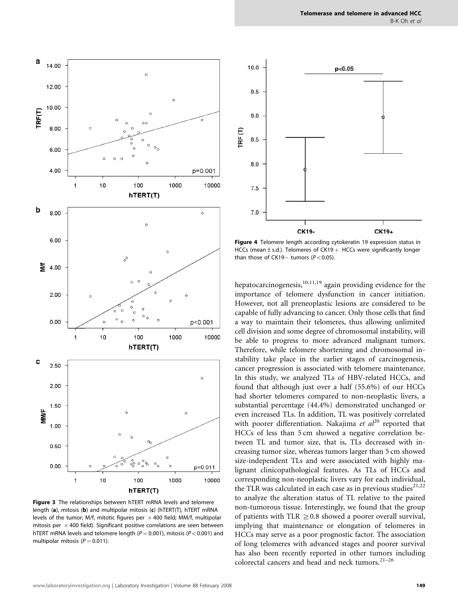

<span id="page-5-0"></span>

**Figure 3** The relationships between hTERT mRNA levels and telomere length (a), mitosis (b) and multipolar mitosis (c) (hTERT(T), hTERT mRNA levels of the tumor; M/f, mitotic figures per  $\times$  400 field; MM/f, multipolar mitosis per  $\times$  400 field). Significant positive correlations are seen between hTERT mRNA levels and telomere length ( $P = 0.001$ ), mitosis ( $P < 0.001$ ) and multipolar mitosis ( $P = 0.011$ ).



Figure 4 Telomere length according cytokeratin 19 expression status in HCCs (mean  $\pm$  s.d.). Telomeres of CK19  $+$  HCCs were significantly longer than those of CK19- tumors ( $P < 0.05$ ).

hepatocarcinogenesis, $10,11,19$  again providing evidence for the importance of telomere dysfunction in cancer initiation. However, not all preneoplastic lesions are considered to be capable of fully advancing to cancer. Only those cells that find a way to maintain their telomeres, thus allowing unlimited cell division and some degree of chromosomal instability, will be able to progress to more advanced malignant tumors. Therefore, while telomere shortening and chromosomal instability take place in the earlier stages of carcinogenesis, cancer progression is associated with telomere maintenance. In this study, we analyzed TLs of HBV-related HCCs, and found that although just over a half (55.6%) of our HCCs had shorter telomeres compared to non-neoplastic livers, a substantial percentage (44.4%) demonstrated unchanged or even increased TLs. In addition, TL was positively correlated with poorer differentiation. Nakajima et  $al^{20}$  $al^{20}$  $al^{20}$  reported that HCCs of less than 5 cm showed a negative correlation between TL and tumor size, that is, TLs decreased with increasing tumor size, whereas tumors larger than 5 cm showed size-independent TLs and were associated with highly malignant clinicopathological features. As TLs of HCCs and corresponding non-neoplastic livers vary for each individual, the TLR was calculated in each case as in previous studies $2^{1,22}$ to analyze the alteration status of TL relative to the paired non-tumorous tissue. Interestingly, we found that the group of patients with TLR  $\geq$  0.8 showed a poorer overall survival, implying that maintenance or elongation of telomeres in HCCs may serve as a poor prognostic factor. The association of long telomeres with advanced stages and poorer survival has also been recently reported in other tumors including colorectal cancers and head and neck tumors.<sup>21-26</sup>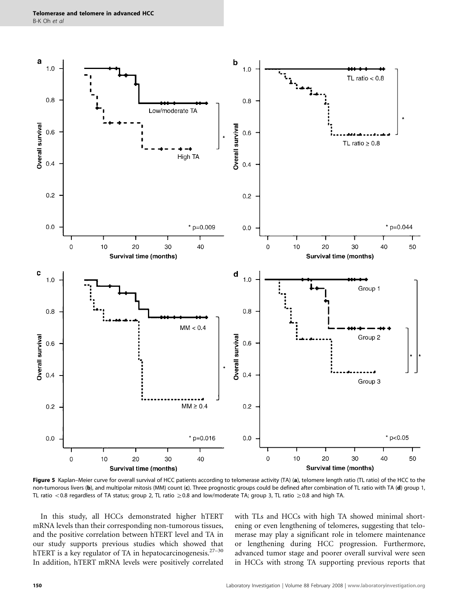<span id="page-6-0"></span>

Figure 5 Kaplan–Meier curve for overall survival of HCC patients according to telomerase activity (TA) (a), telomere length ratio (TL ratio) of the HCC to the non-tumorous livers (b), and multipolar mitosis (MM) count (c). Three prognostic groups could be defined after combination of TL ratio with TA (d) group 1, TL ratio <0.8 regardless of TA status; group 2, TL ratio  $\geq$ 0.8 and low/moderate TA; group 3, TL ratio  $\geq$ 0.8 and high TA.

In this study, all HCCs demonstrated higher hTERT mRNA levels than their corresponding non-tumorous tissues, and the positive correlation between hTERT level and TA in our study supports previous studies which showed that hTERT is a key regulator of TA in hepatocarcinogenesis. $27-30$ In addition, hTERT mRNA levels were positively correlated with TLs and HCCs with high TA showed minimal shortening or even lengthening of telomeres, suggesting that telomerase may play a significant role in telomere maintenance or lengthening during HCC progression. Furthermore, advanced tumor stage and poorer overall survival were seen in HCCs with strong TA supporting previous reports that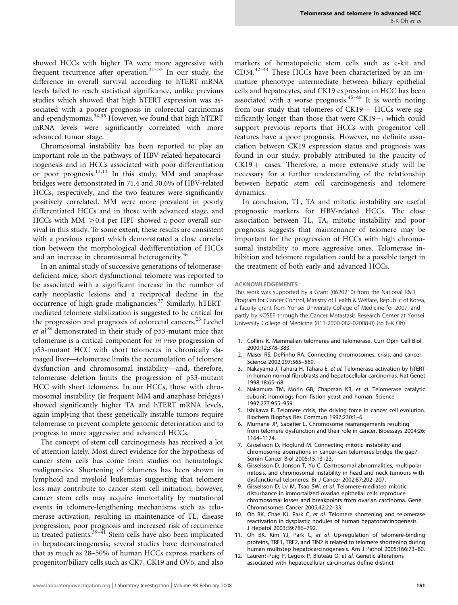<span id="page-7-0"></span>showed HCCs with higher TA were more aggressive with frequent recurrence after operation.<sup>[31–33](#page-8-0)</sup> In our study, the difference in overall survival according to hTERT mRNA levels failed to reach statistical significance, unlike previous studies which showed that high hTERT expression was associated with a poorer prognosis in colorectal carcinomas and ependymomas.[34,35](#page-8-0) However, we found that high hTERT mRNA levels were significantly correlated with more advanced tumor stage.

Chromosomal instability has been reported to play an important role in the pathways of HBV-related hepatocarcinogenesis and in HCCs associated with poor differentiation or poor prognosis.12,13 In this study, MM and anaphase bridges were demonstrated in 71.4 and 30.6% of HBV-related HCCs, respectively, and the two features were significantly positively correlated. MM were more prevalent in poorly differentiated HCCs and in those with advanced stage, and HCCs with MM  $\geq$  0.4 per HPF showed a poor overall survival in this study. To some extent, these results are consistent with a previous report which demonstrated a close correlation between the morphological dedifferentiation of HCCs and an increase in chromosomal heterogeneity.<sup>[36](#page-8-0)</sup>

In an animal study of successive generations of telomerasedeficient mice, short dysfunctional telomere was reported to be associated with a significant increase in the number of early neoplastic lesions and a reciprocal decline in the occurrence of high-grade malignancies.<sup>[37](#page-8-0)</sup> Similarly, hTERTmediated telomere stabilization is suggested to be critical for the progression and prognosis of colorectal cancers.<sup>[23](#page-8-0)</sup> Lechel et  $al^{38}$  $al^{38}$  $al^{38}$  demonstrated in their study of p53-mutant mice that telomerase is a critical component for in vivo progression of p53-mutant HCC with short telomeres in chronically damaged liver—telomerase limits the accumulation of telomere dysfunction and chromosomal instability—and, therefore, telomerase deletion limits the progression of p53-mutant HCC with short telomeres. In our HCCs, those with chromosomal instability (ie frequent MM and anaphase bridges) showed significantly higher TA and hTERT mRNA levels, again implying that these genetically instable tumors require telomerase to prevent complete genomic deterioration and to progress to more aggressive and advanced HCCs.

The concept of stem cell carcinogenesis has received a lot of attention lately. Most direct evidence for the hypothesis of cancer stem cells has come from studies on hematologic malignancies. Shortening of telomeres has been shown in lymphoid and myeloid leukemias suggesting that telomere loss may contribute to cancer stem cell initiation; however, cancer stem cells may acquire immortality by mutational events in telomere-lengthening mechanisms such as telomerase activation, resulting in maintenance of TL, disease progression, poor prognosis and increased risk of recurrence in treated patients.<sup>[39–41](#page-8-0)</sup> Stem cells have also been implicated in hepatocarcinogenesis; several studies have demonstrated that as much as 28–50% of human HCCs express markers of progenitor/biliary cells such as CK7, CK19 and OV6, and also markers of hematopoietic stem cells such as c-kit and CD34. $42-44$  These HCCs have been characterized by an immature phenotype intermediate between biliary epithelial cells and hepatocytes, and CK19 expression in HCC has been associated with a worse prognosis. $45-48$  It is worth noting from our study that telomeres of  $CK19+$  HCCs were significantly longer than those that were  $CK19-$ , which could support previous reports that HCCs with progenitor cell features have a poor prognosis. However, no definite association between CK19 expression status and prognosis was found in our study, probably attributed to the paucity of  $CK19 + \text{cases}$ . Therefore, a more extensive study will be necessary for a further understanding of the relationship between hepatic stem cell carcinogenesis and telomere dynamics.

In conclusion, TL, TA and mitotic instability are useful prognostic markers for HBV-related HCCs. The close association between TL, TA, mitotic instability and poor prognosis suggests that maintenance of telomere may be important for the progression of HCCs with high chromosomal instability to more aggressive ones. Telomerase inhibition and telomere regulation could be a possible target in the treatment of both early and advanced HCCs.

#### ACKNOWLEDGEMENTS

This work was supported by a Grant (0620210) from the National R&D Program for Cancer Control, Ministry of Health & Welfare, Republic of Korea, a faculty grant from Yonsei University College of Medicine for 2007, and partly by KOSEF through the Cancer Metastasis Research Center at Yonsei University College of Medicine (R11-2000-082-02008-0) (to B-K Oh).

- 1. Collins K. Mammalian telomeres and telomerase. Curr Opin Cell Biol 2000;12:378–383.
- 2. Maser RS, DePinho RA. Connecting chromosomes, crisis, and cancer. Science 2002;297:565–569.
- 3. Nakayama J, Tahara H, Tahara E, et al. Telomerase activation by hTERT in human normal fibroblasts and hepatocellular carcinomas. Nat Genet 1998;18:65–68.
- 4. Nakamura TM, Morin GB, Chapman KB, et al. Telomerase catalytic subunit homologs from fission yeast and human. Science 1997;277:955–959.
- 5. Ishikawa F. Telomere crisis, the driving force in cancer cell evolution. Biochem Biophys Res Commun 1997;230:1–6.
- 6. Murnane JP, Sabatier L. Chromosome rearrangements resulting from telomere dysfunction and their role in cancer. Bioessays 2004;26: 1164–1174.
- 7. Gisselsson D, Hoglund M. Connecting mitotic instability and chromosome aberrations in cancer-can telomeres bridge the gap? Semin Cancer Biol 2005;15:13–23.
- 8. Gisselsson D, Jonson T, Yu C. Centrosomal abnormalities, multipolar mitosis, and chromosomal instability in head and neck tumours with dysfunctional telomeres. Br J Cancer 2002;87:202–207.
- 9. Gisselsson D, Ly M, Tsao SW, et al. Telomere-mediated mitotic disturbance in immortalized ovarian epithelial cells reproduce chromosomal losses and breakpoints from ovarian carcinoma. Gene Chromosomes Cancer 2005;42:22–33.
- 10. Oh BK, Chae KJ, Park C, et al. Telomere shortening and telomerase reactivation in dysplastic nodules of human hepatocarcinogenesis. J Hepatol 2003;39:786–792.
- 11. Oh BK, Kim YJ, Park C, et al. Up-regulation of telomere-binding proteins, TRF1, TRF2, and TIN2 is related to telomere shortening during human multistep hepatocarcinogenesis. Am J Pathol 2005;166:73–80.
- 12. Laurent-Puig P, Legoix P, Bluteau O, et al. Genetic alterations associated with hepatocellular carcinomas define distinct